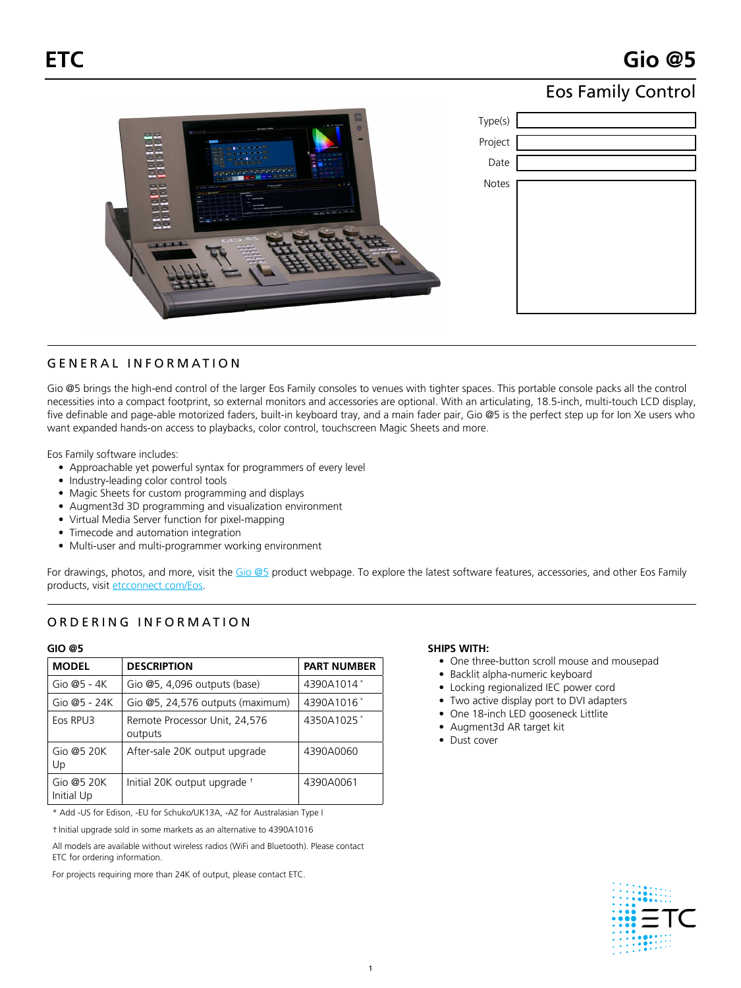## Eos Family Control

| E<br>$t$ in the sections<br>$\bullet$<br><b>AFT Day Pa - WORKING</b><br>20000                                                                                                                                                                                                                                                                                                     | Type(s) |
|-----------------------------------------------------------------------------------------------------------------------------------------------------------------------------------------------------------------------------------------------------------------------------------------------------------------------------------------------------------------------------------|---------|
| 中国<br><b>COM</b><br>四四<br>$-1 - 1 - 1 - 1 - 1 - $<br>巴巴                                                                                                                                                                                                                                                                                                                           | Project |
| the distance of the con-<br>$-22 - 2$<br><b>RESIDENCE</b><br><b>MS</b> 200<br>$z \times$<br>$-1.52$<br>[MA] [ MIL                                                                                                                                                                                                                                                                 | Date    |
| 四四<br>$\sim$ $-$<br>$-7 - 6$<br>巴巴<br>consumers and states<br>C. Lincoln, Lowrences, C.<br>the corporation of the ATA<br>- -<br><b>Canada</b><br>÷<br><b>ATLANTAGER</b><br>四四<br><b>The Co</b><br><b><i>Base CO Submer</i></b><br><b>MET Box R - MONDA PURSUE SIGNAL</b><br>목주<br>the die 10 (SS) as 10 (cm)<br>四四<br>$\sim$<br><b>BER WHI</b><br>$CIO$ es<br>$0 - 0 - 0 - 0 - 0$ | Notes   |

## GENERAL INFORMATION

Gio @5 brings the high-end control of the larger Eos Family consoles to venues with tighter spaces. This portable console packs all the control necessities into a compact footprint, so external monitors and accessories are optional. With an articulating, 18.5-inch, multi-touch LCD display, five definable and page-able motorized faders, built-in keyboard tray, and a main fader pair, Gio @5 is the perfect step up for Ion Xe users who want expanded hands-on access to playbacks, color control, touchscreen Magic Sheets and more.

Eos Family software includes:

- Approachable yet powerful syntax for programmers of every level
- Industry-leading color control tools
- Magic Sheets for custom programming and displays
- Augment3d 3D programming and visualization environment
- Virtual Media Server function for pixel-mapping
- Timecode and automation integration
- Multi-user and multi-programmer working environment

For drawings, photos, and more, visit the [Gio @5](https://www.etcconnect.com/Products/Consoles/Eos-Family/Gio-@5/Features.aspx) product webpage. To explore the latest software features, accessories, and other Eos Family products, visit [etcconnect.com/Eos](https://etcconnect.com/Eos).

## ORDERING INFORMATION

#### **Gio @5**

| <b>MODEL</b>                | <b>PART NUMBER</b>                       |            |  |
|-----------------------------|------------------------------------------|------------|--|
| Gio $@5 - 4K$               | Gio $@5, 4,096$ outputs (base)           | 4390A1014* |  |
| Gio $@5 - 24K$              | Gio @5, 24,576 outputs (maximum)         | 4390A1016* |  |
| Eos RPU3                    | Remote Processor Unit, 24,576<br>outputs | 4350A1025* |  |
| Gio @5 20 $K$<br>Up         | After-sale 20K output upgrade            | 4390A0060  |  |
| Gio @5 20 $K$<br>Initial Up | Initial 20K output upgrade +             | 4390A0061  |  |

\* Add -US for Edison, -EU for Schuko/UK13A, -AZ for Australasian Type I

† Initial upgrade sold in some markets as an alternative to 4390A1016

All models are available without wireless radios (WiFi and Bluetooth). Please contact ETC for ordering information.

For projects requiring more than 24K of output, please contact ETC.

#### **SHIPS WITH:**

- One three-button scroll mouse and mousepad
- Backlit alpha-numeric keyboard
- Locking regionalized IEC power cord
- Two active display port to DVI adapters
- One 18-inch LED gooseneck Littlite
- Augment3d AR target kit
- Dust cover

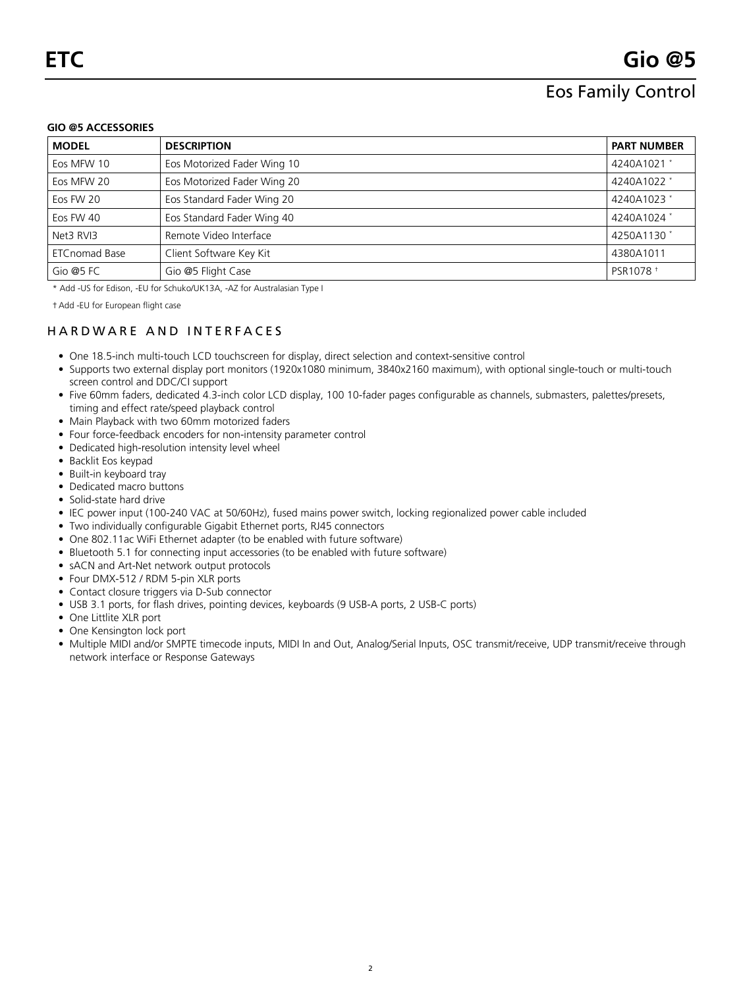## Eos Family Control

#### **Gio @5 ACCESSORIES**

| <b>MODEL</b>         | <b>DESCRIPTION</b>          | <b>PART NUMBER</b>     |
|----------------------|-----------------------------|------------------------|
| Eos MFW 10           | Eos Motorized Fader Wing 10 | 4240A1021 *            |
| Eos MFW 20           | Eos Motorized Fader Wing 20 | 4240A1022 *            |
| Eos FW 20            | Eos Standard Fader Wing 20  | 4240A1023 *            |
| Eos FW 40            | Eos Standard Fader Wing 40  | 4240A1024 *            |
| Net3 RVI3            | Remote Video Interface      | 4250A1130 <sup>*</sup> |
| <b>ETCnomad Base</b> | Client Software Key Kit     | 4380A1011              |
| Gio @5 FC            | Gio @5 Flight Case          | PSR1078 <sup>+</sup>   |

\* Add -US for Edison, -EU for Schuko/UK13A, -AZ for Australasian Type I

†Add -EU for European flight case

## HARDWARE AND INTERFACES

- One 18.5-inch multi-touch LCD touchscreen for display, direct selection and context-sensitive control
- Supports two external display port monitors (1920x1080 minimum, 3840x2160 maximum), with optional single-touch or multi-touch screen control and DDC/CI support
- Five 60mm faders, dedicated 4.3-inch color LCD display, 100 10-fader pages configurable as channels, submasters, palettes/presets, timing and effect rate/speed playback control
- Main Playback with two 60mm motorized faders
- Four force-feedback encoders for non-intensity parameter control
- Dedicated high-resolution intensity level wheel
- Backlit Eos keypad
- Built-in keyboard tray
- Dedicated macro buttons
- Solid-state hard drive
- IEC power input (100-240 VAC at 50/60Hz), fused mains power switch, locking regionalized power cable included
- Two individually configurable Gigabit Ethernet ports, RJ45 connectors
- One 802.11ac WiFi Ethernet adapter (to be enabled with future software)
- Bluetooth 5.1 for connecting input accessories (to be enabled with future software)
- sACN and Art-Net network output protocols
- Four DMX-512 / RDM 5-pin XLR ports
- Contact closure triggers via D-Sub connector
- USB 3.1 ports, for flash drives, pointing devices, keyboards (9 USB-A ports, 2 USB-C ports)
- One Littlite XLR port
- One Kensington lock port
- Multiple MIDI and/or SMPTE timecode inputs, MIDI In and Out, Analog/Serial Inputs, OSC transmit/receive, UDP transmit/receive through network interface or Response Gateways